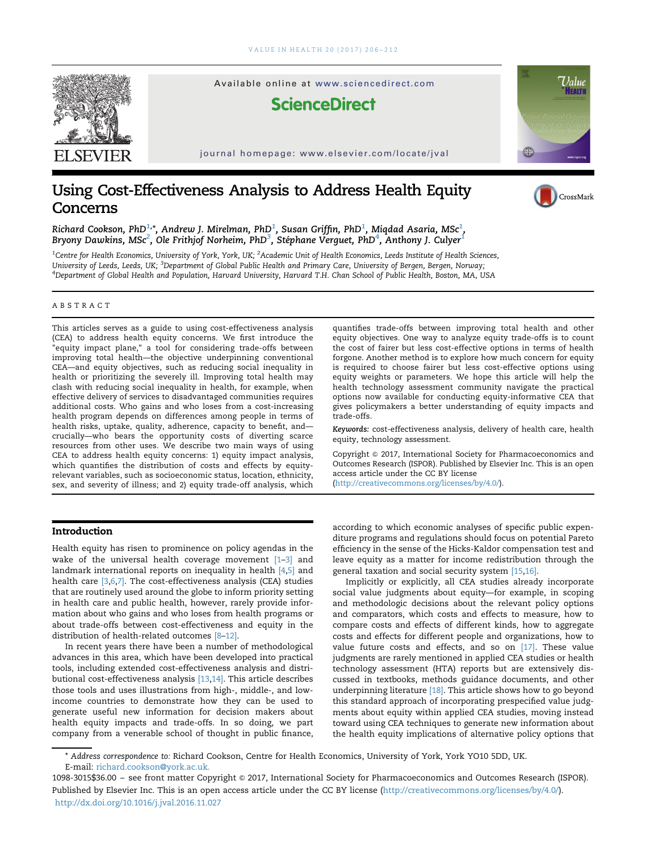

# Using Cost-Effectiveness Analysis to Address Health Equity Concerns



Richard Cookson, PhD $^{1,\ast}$ , Andrew J. Mirelman, PhD $^{1}$ , Susan Griffin, PhD $^{1}$ , Miqdad Asaria, MSc $^{1}$ , Bryony Dawkins, MSc $^2$ , Ole Frithjof Norheim, PhD $^3$ , Stéphane Verguet, PhD $^4$ , Anthony J. Culyer $^1$ 

<sup>1</sup>Centre for Health Economics, University of York, York, UK; <sup>2</sup>Academic Unit of Health Economics, Leeds Institute of Health Sciences, University of Leeds, Leeds, UK; <sup>3</sup>Department of Global Public Health and Primary Care, University of Bergen, Bergen, Norway; 4 Department of Global Health and Population, Harvard University, Harvard T.H. Chan School of Public Health, Boston, MA, USA

#### ABSTRACT

This articles serves as a guide to using cost-effectiveness analysis (CEA) to address health equity concerns. We first introduce the "equity impact plane," a tool for considering trade-offs between improving total health—the objective underpinning conventional CEA—and equity objectives, such as reducing social inequality in health or prioritizing the severely ill. Improving total health may clash with reducing social inequality in health, for example, when effective delivery of services to disadvantaged communities requires additional costs. Who gains and who loses from a cost-increasing health program depends on differences among people in terms of health risks, uptake, quality, adherence, capacity to benefit, and crucially—who bears the opportunity costs of diverting scarce resources from other uses. We describe two main ways of using CEA to address health equity concerns: 1) equity impact analysis, which quantifies the distribution of costs and effects by equityrelevant variables, such as socioeconomic status, location, ethnicity, sex, and severity of illness; and 2) equity trade-off analysis, which

## Introduction

Health equity has risen to prominence on policy agendas in the wake of the universal health coverage movement [1–3] and landmark international reports on inequality in health [4,5] and health care [3,6,7]. The cost-effectiveness analysis (CEA) studies that are routinely used around the globe to inform priority setting in health care and public health, however, rarely provide information about who gains and who loses from health programs or about trade-offs between cost-effectiveness and equity in the distribution of health-related outcomes [8–12].

In recent years there have been a number of methodological advances in this area, which have been developed into practical tools, including extended cost-effectiveness analysis and distributional cost-effectiveness analysis [13,14]. This article describes those tools and uses illustrations from high-, middle-, and lowincome countries to demonstrate how they can be used to generate useful new information for decision makers about health equity impacts and trade-offs. In so doing, we part company from a venerable school of thought in public finance,

quantifies trade-offs between improving total health and other equity objectives. One way to analyze equity trade-offs is to count the cost of fairer but less cost-effective options in terms of health forgone. Another method is to explore how much concern for equity is required to choose fairer but less cost-effective options using equity weights or parameters. We hope this article will help the health technology assessment community navigate the practical options now available for conducting equity-informative CEA that gives policymakers a better understanding of equity impacts and trade-offs.

Keywords: cost-effectiveness analysis, delivery of health care, health equity, technology assessment.

Copyright © 2017, International Society for Pharmacoeconomics and Outcomes Research (ISPOR). Published by Elsevier Inc. This is an open access article under the CC BY license (http://creativecommons.org/licenses/by/4.0/).

according to which economic analyses of specific public expenditure programs and regulations should focus on potential Pareto efficiency in the sense of the Hicks-Kaldor compensation test and leave equity as a matter for income redistribution through the general taxation and social security system [15,16].

Implicitly or explicitly, all CEA studies already incorporate social value judgments about equity—for example, in scoping and methodologic decisions about the relevant policy options and comparators, which costs and effects to measure, how to compare costs and effects of different kinds, how to aggregate costs and effects for different people and organizations, how to value future costs and effects, and so on [17]. These value judgments are rarely mentioned in applied CEA studies or health technology assessment (HTA) reports but are extensively discussed in textbooks, methods guidance documents, and other underpinning literature [18]. This article shows how to go beyond this standard approach of incorporating prespecified value judgments about equity within applied CEA studies, moving instead toward using CEA techniques to generate new information about the health equity implications of alternative policy options that

E-mail: [richard.cookson@york.ac.uk.](mailto:richard.cookson@york.ac.uk) \* Address correspondence to: Richard Cookson, Centre for Health Economics, University of York, York YO10 5DD, UK.

<sup>1098-3015\$36.00</sup> – see front matter Copyright & 2017, International Society for Pharmacoeconomics and Outcomes Research (ISPOR). Published by Elsevier Inc. This is an open access article under the CC BY license (http://creativecommons.org/licenses/by/4.0/). <http://dx.doi.org/10.1016/j.jval.2016.11.027>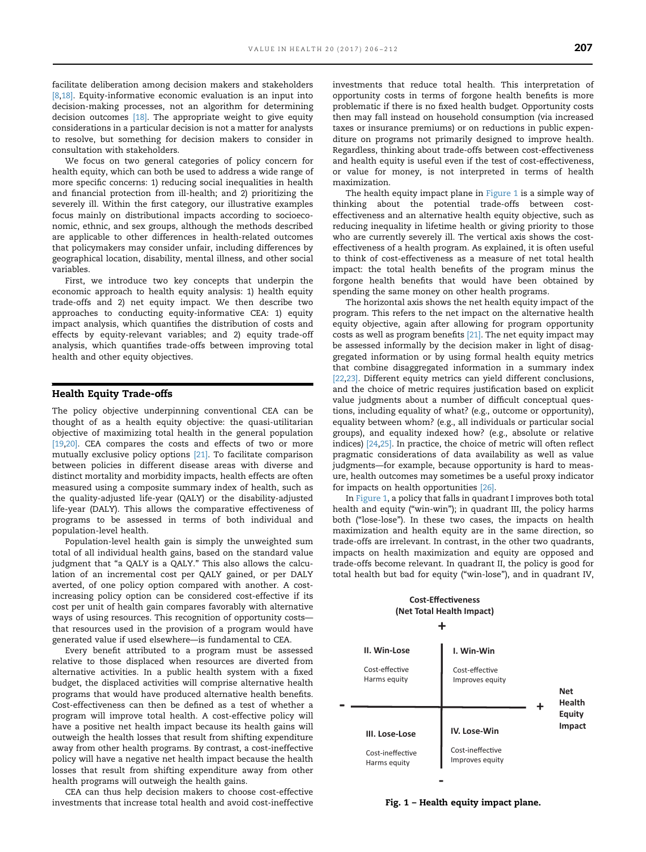facilitate deliberation among decision makers and stakeholders [8,18]. Equity-informative economic evaluation is an input into decision-making processes, not an algorithm for determining decision outcomes [18]. The appropriate weight to give equity considerations in a particular decision is not a matter for analysts to resolve, but something for decision makers to consider in consultation with stakeholders.

We focus on two general categories of policy concern for health equity, which can both be used to address a wide range of more specific concerns: 1) reducing social inequalities in health and financial protection from ill-health; and 2) prioritizing the severely ill. Within the first category, our illustrative examples focus mainly on distributional impacts according to socioeconomic, ethnic, and sex groups, although the methods described are applicable to other differences in health-related outcomes that policymakers may consider unfair, including differences by geographical location, disability, mental illness, and other social variables.

First, we introduce two key concepts that underpin the economic approach to health equity analysis: 1) health equity trade-offs and 2) net equity impact. We then describe two approaches to conducting equity-informative CEA: 1) equity impact analysis, which quantifies the distribution of costs and effects by equity-relevant variables; and 2) equity trade-off analysis, which quantifies trade-offs between improving total health and other equity objectives.

## Health Equity Trade-offs

The policy objective underpinning conventional CEA can be thought of as a health equity objective: the quasi-utilitarian objective of maximizing total health in the general population [19,20]. CEA compares the costs and effects of two or more mutually exclusive policy options [21]. To facilitate comparison between policies in different disease areas with diverse and distinct mortality and morbidity impacts, health effects are often measured using a composite summary index of health, such as the quality-adjusted life-year (QALY) or the disability-adjusted life-year (DALY). This allows the comparative effectiveness of programs to be assessed in terms of both individual and population-level health.

Population-level health gain is simply the unweighted sum total of all individual health gains, based on the standard value judgment that "a QALY is a QALY." This also allows the calculation of an incremental cost per QALY gained, or per DALY averted, of one policy option compared with another. A costincreasing policy option can be considered cost-effective if its cost per unit of health gain compares favorably with alternative ways of using resources. This recognition of opportunity costs that resources used in the provision of a program would have generated value if used elsewhere—is fundamental to CEA.

Every benefit attributed to a program must be assessed relative to those displaced when resources are diverted from alternative activities. In a public health system with a fixed budget, the displaced activities will comprise alternative health programs that would have produced alternative health benefits. Cost-effectiveness can then be defined as a test of whether a program will improve total health. A cost-effective policy will have a positive net health impact because its health gains will outweigh the health losses that result from shifting expenditure away from other health programs. By contrast, a cost-ineffective policy will have a negative net health impact because the health losses that result from shifting expenditure away from other health programs will outweigh the health gains.

CEA can thus help decision makers to choose cost-effective investments that increase total health and avoid cost-ineffective investments that reduce total health. This interpretation of opportunity costs in terms of forgone health benefits is more problematic if there is no fixed health budget. Opportunity costs then may fall instead on household consumption (via increased taxes or insurance premiums) or on reductions in public expenditure on programs not primarily designed to improve health. Regardless, thinking about trade-offs between cost-effectiveness and health equity is useful even if the test of cost-effectiveness, or value for money, is not interpreted in terms of health maximization.

The health equity impact plane in Figure 1 is a simple way of thinking about the potential trade-offs between costeffectiveness and an alternative health equity objective, such as reducing inequality in lifetime health or giving priority to those who are currently severely ill. The vertical axis shows the costeffectiveness of a health program. As explained, it is often useful to think of cost-effectiveness as a measure of net total health impact: the total health benefits of the program minus the forgone health benefits that would have been obtained by spending the same money on other health programs.

The horizontal axis shows the net health equity impact of the program. This refers to the net impact on the alternative health equity objective, again after allowing for program opportunity costs as well as program benefits [21]. The net equity impact may be assessed informally by the decision maker in light of disaggregated information or by using formal health equity metrics that combine disaggregated information in a summary index [22,23]. Different equity metrics can yield different conclusions, and the choice of metric requires justification based on explicit value judgments about a number of difficult conceptual questions, including equality of what? (e.g., outcome or opportunity), equality between whom? (e.g., all individuals or particular social groups), and equality indexed how? (e.g., absolute or relative indices) [24,25]. In practice, the choice of metric will often reflect pragmatic considerations of data availability as well as value judgments—for example, because opportunity is hard to measure, health outcomes may sometimes be a useful proxy indicator for impacts on health opportunities [26].

In Figure 1, a policy that falls in quadrant I improves both total health and equity ("win-win"); in quadrant III, the policy harms both ("lose-lose"). In these two cases, the impacts on health maximization and health equity are in the same direction, so trade-offs are irrelevant. In contrast, in the other two quadrants, impacts on health maximization and equity are opposed and trade-offs become relevant. In quadrant II, the policy is good for total health but bad for equity ("win-lose"), and in quadrant IV,

## **Cost-Effectiveness (Net Total Health Impact)**



Fig. 1 – Health equity impact plane.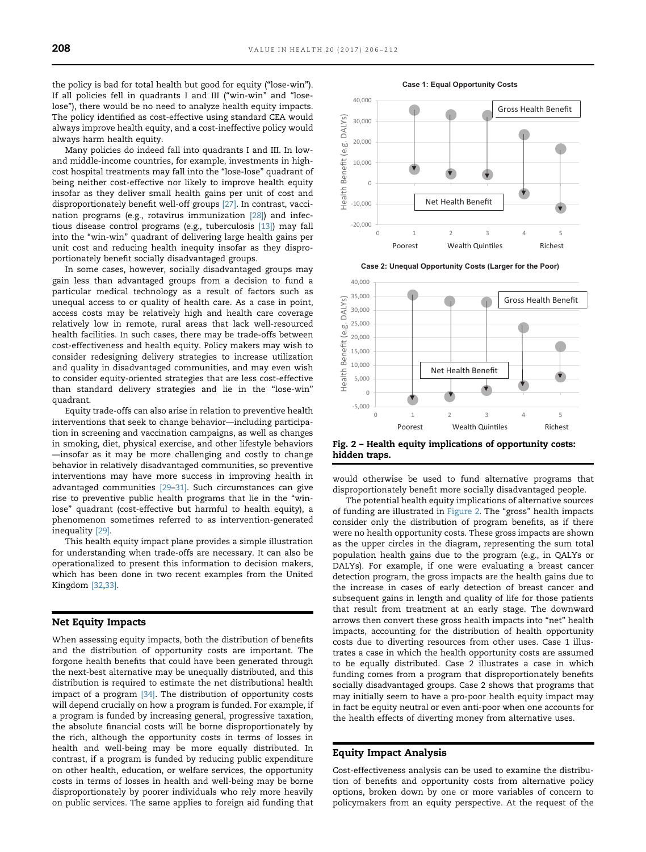the policy is bad for total health but good for equity ("lose-win"). If all policies fell in quadrants I and III ("win-win" and "loselose"), there would be no need to analyze health equity impacts. The policy identified as cost-effective using standard CEA would always improve health equity, and a cost-ineffective policy would always harm health equity.

Many policies do indeed fall into quadrants I and III. In lowand middle-income countries, for example, investments in highcost hospital treatments may fall into the "lose-lose" quadrant of being neither cost-effective nor likely to improve health equity insofar as they deliver small health gains per unit of cost and disproportionately benefit well-off groups [27]. In contrast, vaccination programs (e.g., rotavirus immunization [28]) and infectious disease control programs (e.g., tuberculosis [13]) may fall into the "win-win" quadrant of delivering large health gains per unit cost and reducing health inequity insofar as they disproportionately benefit socially disadvantaged groups.

In some cases, however, socially disadvantaged groups may gain less than advantaged groups from a decision to fund a particular medical technology as a result of factors such as unequal access to or quality of health care. As a case in point, access costs may be relatively high and health care coverage relatively low in remote, rural areas that lack well-resourced health facilities. In such cases, there may be trade-offs between cost-effectiveness and health equity. Policy makers may wish to consider redesigning delivery strategies to increase utilization and quality in disadvantaged communities, and may even wish to consider equity-oriented strategies that are less cost-effective than standard delivery strategies and lie in the "lose-win" quadrant.

Equity trade-offs can also arise in relation to preventive health interventions that seek to change behavior—including participation in screening and vaccination campaigns, as well as changes in smoking, diet, physical exercise, and other lifestyle behaviors —insofar as it may be more challenging and costly to change behavior in relatively disadvantaged communities, so preventive interventions may have more success in improving health in advantaged communities [29–31]. Such circumstances can give rise to preventive public health programs that lie in the "winlose" quadrant (cost-effective but harmful to health equity), a phenomenon sometimes referred to as intervention-generated inequality [29].

This health equity impact plane provides a simple illustration for understanding when trade-offs are necessary. It can also be operationalized to present this information to decision makers, which has been done in two recent examples from the United Kingdom [32,33].

## Net Equity Impacts

When assessing equity impacts, both the distribution of benefits and the distribution of opportunity costs are important. The forgone health benefits that could have been generated through the next-best alternative may be unequally distributed, and this distribution is required to estimate the net distributional health impact of a program [34]. The distribution of opportunity costs will depend crucially on how a program is funded. For example, if a program is funded by increasing general, progressive taxation, the absolute financial costs will be borne disproportionately by the rich, although the opportunity costs in terms of losses in health and well-being may be more equally distributed. In contrast, if a program is funded by reducing public expenditure on other health, education, or welfare services, the opportunity costs in terms of losses in health and well-being may be borne disproportionately by poorer individuals who rely more heavily on public services. The same applies to foreign aid funding that





**Case 2: Unequal Opportunity Costs (Larger for the Poor)**



Fig. 2 – Health equity implications of opportunity costs: hidden traps.

would otherwise be used to fund alternative programs that disproportionately benefit more socially disadvantaged people.

The potential health equity implications of alternative sources of funding are illustrated in Figure 2. The "gross" health impacts consider only the distribution of program benefits, as if there were no health opportunity costs. These gross impacts are shown as the upper circles in the diagram, representing the sum total population health gains due to the program (e.g., in QALYs or DALYs). For example, if one were evaluating a breast cancer detection program, the gross impacts are the health gains due to the increase in cases of early detection of breast cancer and subsequent gains in length and quality of life for those patients that result from treatment at an early stage. The downward arrows then convert these gross health impacts into "net" health impacts, accounting for the distribution of health opportunity costs due to diverting resources from other uses. Case 1 illustrates a case in which the health opportunity costs are assumed to be equally distributed. Case 2 illustrates a case in which funding comes from a program that disproportionately benefits socially disadvantaged groups. Case 2 shows that programs that may initially seem to have a pro-poor health equity impact may in fact be equity neutral or even anti-poor when one accounts for the health effects of diverting money from alternative uses.

## Equity Impact Analysis

Cost-effectiveness analysis can be used to examine the distribution of benefits and opportunity costs from alternative policy options, broken down by one or more variables of concern to policymakers from an equity perspective. At the request of the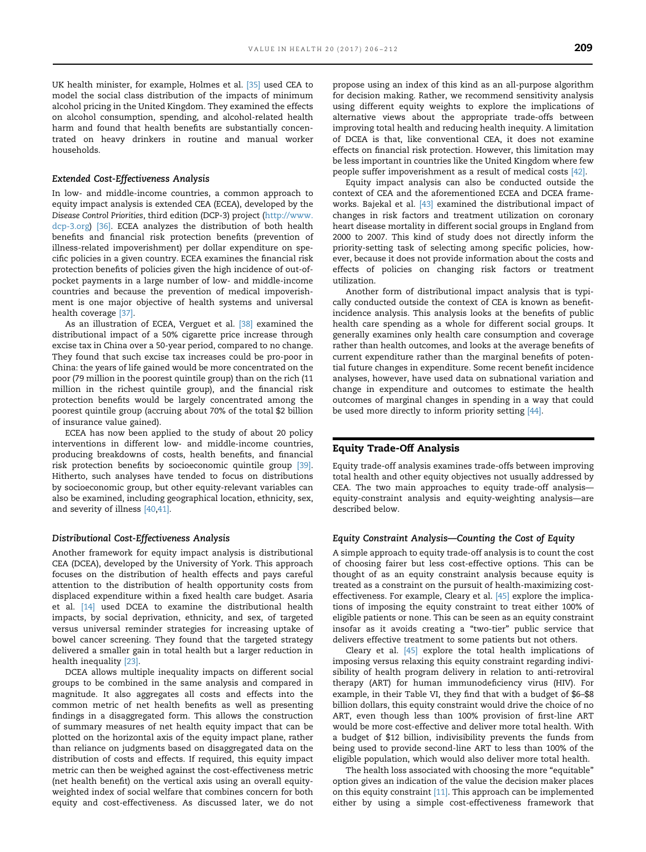UK health minister, for example, Holmes et al. [35] used CEA to model the social class distribution of the impacts of minimum alcohol pricing in the United Kingdom. They examined the effects on alcohol consumption, spending, and alcohol-related health harm and found that health benefits are substantially concentrated on heavy drinkers in routine and manual worker households.

#### Extended Cost-Effectiveness Analysis

In low- and middle-income countries, a common approach to equity impact analysis is extended CEA (ECEA), developed by the Disease Control Priorities, third edition (DCP-3) project ([http://www.](http://www.dcp-3.org) [dcp-3.org](http://www.dcp-3.org)) [36]. ECEA analyzes the distribution of both health benefits and financial risk protection benefits (prevention of illness-related impoverishment) per dollar expenditure on specific policies in a given country. ECEA examines the financial risk protection benefits of policies given the high incidence of out-ofpocket payments in a large number of low- and middle-income countries and because the prevention of medical impoverishment is one major objective of health systems and universal health coverage [37].

As an illustration of ECEA, Verguet et al. [38] examined the distributional impact of a 50% cigarette price increase through excise tax in China over a 50-year period, compared to no change. They found that such excise tax increases could be pro-poor in China: the years of life gained would be more concentrated on the poor (79 million in the poorest quintile group) than on the rich (11 million in the richest quintile group), and the financial risk protection benefits would be largely concentrated among the poorest quintile group (accruing about 70% of the total \$2 billion of insurance value gained).

ECEA has now been applied to the study of about 20 policy interventions in different low- and middle-income countries, producing breakdowns of costs, health benefits, and financial risk protection benefits by socioeconomic quintile group [39]. Hitherto, such analyses have tended to focus on distributions by socioeconomic group, but other equity-relevant variables can also be examined, including geographical location, ethnicity, sex, and severity of illness [40,41].

#### Distributional Cost-Effectiveness Analysis

Another framework for equity impact analysis is distributional CEA (DCEA), developed by the University of York. This approach focuses on the distribution of health effects and pays careful attention to the distribution of health opportunity costs from displaced expenditure within a fixed health care budget. Asaria et al. [14] used DCEA to examine the distributional health impacts, by social deprivation, ethnicity, and sex, of targeted versus universal reminder strategies for increasing uptake of bowel cancer screening. They found that the targeted strategy delivered a smaller gain in total health but a larger reduction in health inequality [23].

DCEA allows multiple inequality impacts on different social groups to be combined in the same analysis and compared in magnitude. It also aggregates all costs and effects into the common metric of net health benefits as well as presenting findings in a disaggregated form. This allows the construction of summary measures of net health equity impact that can be plotted on the horizontal axis of the equity impact plane, rather than reliance on judgments based on disaggregated data on the distribution of costs and effects. If required, this equity impact metric can then be weighed against the cost-effectiveness metric (net health benefit) on the vertical axis using an overall equityweighted index of social welfare that combines concern for both equity and cost-effectiveness. As discussed later, we do not

propose using an index of this kind as an all-purpose algorithm for decision making. Rather, we recommend sensitivity analysis using different equity weights to explore the implications of alternative views about the appropriate trade-offs between improving total health and reducing health inequity. A limitation of DCEA is that, like conventional CEA, it does not examine effects on financial risk protection. However, this limitation may be less important in countries like the United Kingdom where few people suffer impoverishment as a result of medical costs [42].

Equity impact analysis can also be conducted outside the context of CEA and the aforementioned ECEA and DCEA frameworks. Bajekal et al. [43] examined the distributional impact of changes in risk factors and treatment utilization on coronary heart disease mortality in different social groups in England from 2000 to 2007. This kind of study does not directly inform the priority-setting task of selecting among specific policies, however, because it does not provide information about the costs and effects of policies on changing risk factors or treatment utilization.

Another form of distributional impact analysis that is typically conducted outside the context of CEA is known as benefitincidence analysis. This analysis looks at the benefits of public health care spending as a whole for different social groups. It generally examines only health care consumption and coverage rather than health outcomes, and looks at the average benefits of current expenditure rather than the marginal benefits of potential future changes in expenditure. Some recent benefit incidence analyses, however, have used data on subnational variation and change in expenditure and outcomes to estimate the health outcomes of marginal changes in spending in a way that could be used more directly to inform priority setting [44].

## Equity Trade-Off Analysis

Equity trade-off analysis examines trade-offs between improving total health and other equity objectives not usually addressed by CEA. The two main approaches to equity trade-off analysis equity-constraint analysis and equity-weighting analysis—are described below.

#### Equity Constraint Analysis—Counting the Cost of Equity

A simple approach to equity trade-off analysis is to count the cost of choosing fairer but less cost-effective options. This can be thought of as an equity constraint analysis because equity is treated as a constraint on the pursuit of health-maximizing costeffectiveness. For example, Cleary et al. [45] explore the implications of imposing the equity constraint to treat either 100% of eligible patients or none. This can be seen as an equity constraint insofar as it avoids creating a "two-tier" public service that delivers effective treatment to some patients but not others.

Cleary et al. [45] explore the total health implications of imposing versus relaxing this equity constraint regarding indivisibility of health program delivery in relation to anti-retroviral therapy (ART) for human immunodeficiency virus (HIV). For example, in their Table VI, they find that with a budget of \$6–\$8 billion dollars, this equity constraint would drive the choice of no ART, even though less than 100% provision of first-line ART would be more cost-effective and deliver more total health. With a budget of \$12 billion, indivisibility prevents the funds from being used to provide second-line ART to less than 100% of the eligible population, which would also deliver more total health.

The health loss associated with choosing the more "equitable" option gives an indication of the value the decision maker places on this equity constraint [11]. This approach can be implemented either by using a simple cost-effectiveness framework that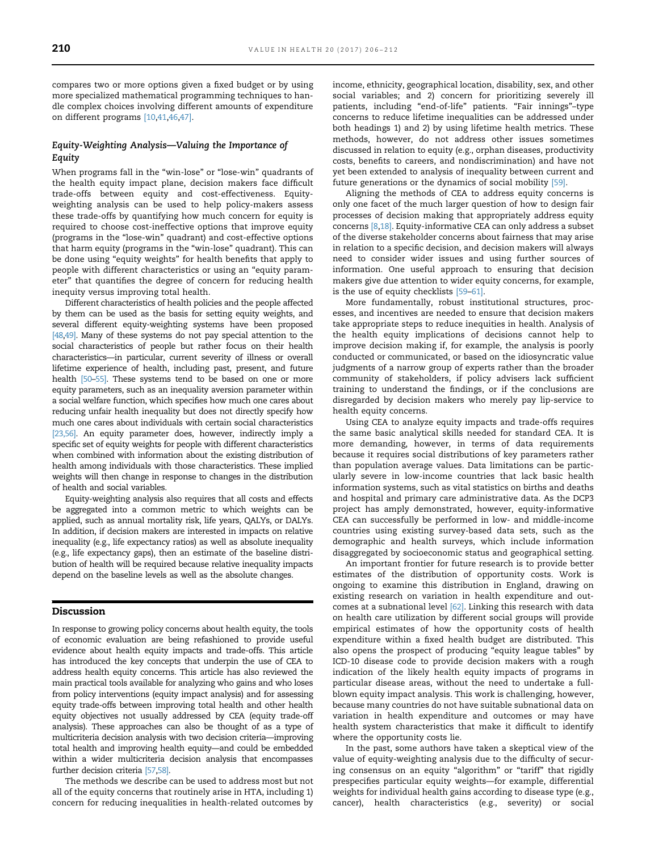compares two or more options given a fixed budget or by using more specialized mathematical programming techniques to handle complex choices involving different amounts of expenditure on different programs [10,41,46,47].

## Equity-Weighting Analysis—Valuing the Importance of Equity

When programs fall in the "win-lose" or "lose-win" quadrants of the health equity impact plane, decision makers face difficult trade-offs between equity and cost-effectiveness. Equityweighting analysis can be used to help policy-makers assess these trade-offs by quantifying how much concern for equity is required to choose cost-ineffective options that improve equity (programs in the "lose-win" quadrant) and cost-effective options that harm equity (programs in the "win-lose" quadrant). This can be done using "equity weights" for health benefits that apply to people with different characteristics or using an "equity parameter" that quantifies the degree of concern for reducing health inequity versus improving total health.

Different characteristics of health policies and the people affected by them can be used as the basis for setting equity weights, and several different equity-weighting systems have been proposed [48,49]. Many of these systems do not pay special attention to the social characteristics of people but rather focus on their health characteristics—in particular, current severity of illness or overall lifetime experience of health, including past, present, and future health [50–55]. These systems tend to be based on one or more equity parameters, such as an inequality aversion parameter within a social welfare function, which specifies how much one cares about reducing unfair health inequality but does not directly specify how much one cares about individuals with certain social characteristics [23,56]. An equity parameter does, however, indirectly imply a specific set of equity weights for people with different characteristics when combined with information about the existing distribution of health among individuals with those characteristics. These implied weights will then change in response to changes in the distribution of health and social variables.

Equity-weighting analysis also requires that all costs and effects be aggregated into a common metric to which weights can be applied, such as annual mortality risk, life years, QALYs, or DALYs. In addition, if decision makers are interested in impacts on relative inequality (e.g., life expectancy ratios) as well as absolute inequality (e.g., life expectancy gaps), then an estimate of the baseline distribution of health will be required because relative inequality impacts depend on the baseline levels as well as the absolute changes.

### Discussion

In response to growing policy concerns about health equity, the tools of economic evaluation are being refashioned to provide useful evidence about health equity impacts and trade-offs. This article has introduced the key concepts that underpin the use of CEA to address health equity concerns. This article has also reviewed the main practical tools available for analyzing who gains and who loses from policy interventions (equity impact analysis) and for assessing equity trade-offs between improving total health and other health equity objectives not usually addressed by CEA (equity trade-off analysis). These approaches can also be thought of as a type of multicriteria decision analysis with two decision criteria—improving total health and improving health equity—and could be embedded within a wider multicriteria decision analysis that encompasses further decision criteria [57,58].

The methods we describe can be used to address most but not all of the equity concerns that routinely arise in HTA, including 1) concern for reducing inequalities in health-related outcomes by

income, ethnicity, geographical location, disability, sex, and other social variables; and 2) concern for prioritizing severely ill patients, including "end-of-life" patients. "Fair innings"–type concerns to reduce lifetime inequalities can be addressed under both headings 1) and 2) by using lifetime health metrics. These methods, however, do not address other issues sometimes discussed in relation to equity (e.g., orphan diseases, productivity costs, benefits to careers, and nondiscrimination) and have not yet been extended to analysis of inequality between current and future generations or the dynamics of social mobility [59].

Aligning the methods of CEA to address equity concerns is only one facet of the much larger question of how to design fair processes of decision making that appropriately address equity concerns [8,18]. Equity-informative CEA can only address a subset of the diverse stakeholder concerns about fairness that may arise in relation to a specific decision, and decision makers will always need to consider wider issues and using further sources of information. One useful approach to ensuring that decision makers give due attention to wider equity concerns, for example, is the use of equity checklists [59–61].

More fundamentally, robust institutional structures, processes, and incentives are needed to ensure that decision makers take appropriate steps to reduce inequities in health. Analysis of the health equity implications of decisions cannot help to improve decision making if, for example, the analysis is poorly conducted or communicated, or based on the idiosyncratic value judgments of a narrow group of experts rather than the broader community of stakeholders, if policy advisers lack sufficient training to understand the findings, or if the conclusions are disregarded by decision makers who merely pay lip-service to health equity concerns.

Using CEA to analyze equity impacts and trade-offs requires the same basic analytical skills needed for standard CEA. It is more demanding, however, in terms of data requirements because it requires social distributions of key parameters rather than population average values. Data limitations can be particularly severe in low-income countries that lack basic health information systems, such as vital statistics on births and deaths and hospital and primary care administrative data. As the DCP3 project has amply demonstrated, however, equity-informative CEA can successfully be performed in low- and middle-income countries using existing survey-based data sets, such as the demographic and health surveys, which include information disaggregated by socioeconomic status and geographical setting.

An important frontier for future research is to provide better estimates of the distribution of opportunity costs. Work is ongoing to examine this distribution in England, drawing on existing research on variation in health expenditure and outcomes at a subnational level [62]. Linking this research with data on health care utilization by different social groups will provide empirical estimates of how the opportunity costs of health expenditure within a fixed health budget are distributed. This also opens the prospect of producing "equity league tables" by ICD-10 disease code to provide decision makers with a rough indication of the likely health equity impacts of programs in particular disease areas, without the need to undertake a fullblown equity impact analysis. This work is challenging, however, because many countries do not have suitable subnational data on variation in health expenditure and outcomes or may have health system characteristics that make it difficult to identify where the opportunity costs lie.

In the past, some authors have taken a skeptical view of the value of equity-weighting analysis due to the difficulty of securing consensus on an equity "algorithm" or "tariff" that rigidly prespecifies particular equity weights—for example, differential weights for individual health gains according to disease type (e.g., cancer), health characteristics (e.g., severity) or social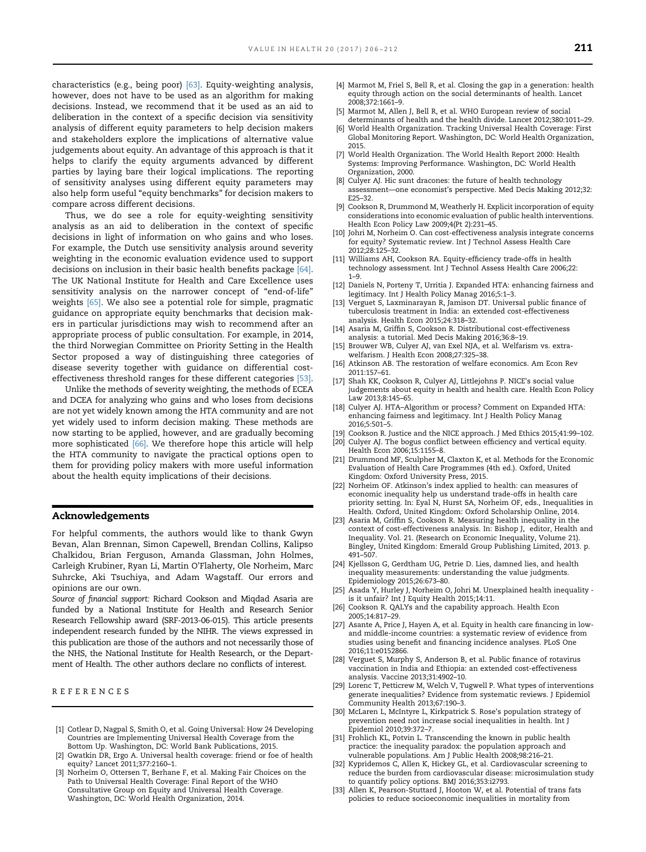characteristics (e.g., being poor) [63]. Equity-weighting analysis, however, does not have to be used as an algorithm for making decisions. Instead, we recommend that it be used as an aid to deliberation in the context of a specific decision via sensitivity analysis of different equity parameters to help decision makers and stakeholders explore the implications of alternative value judgements about equity. An advantage of this approach is that it helps to clarify the equity arguments advanced by different parties by laying bare their logical implications. The reporting of sensitivity analyses using different equity parameters may also help form useful "equity benchmarks" for decision makers to compare across different decisions.

Thus, we do see a role for equity-weighting sensitivity analysis as an aid to deliberation in the context of specific decisions in light of information on who gains and who loses. For example, the Dutch use sensitivity analysis around severity weighting in the economic evaluation evidence used to support decisions on inclusion in their basic health benefits package [64]. The UK National Institute for Health and Care Excellence uses sensitivity analysis on the narrower concept of "end-of-life" weights [65]. We also see a potential role for simple, pragmatic guidance on appropriate equity benchmarks that decision makers in particular jurisdictions may wish to recommend after an appropriate process of public consultation. For example, in 2014, the third Norwegian Committee on Priority Setting in the Health Sector proposed a way of distinguishing three categories of disease severity together with guidance on differential costeffectiveness threshold ranges for these different categories [53].

Unlike the methods of severity weighting, the methods of ECEA and DCEA for analyzing who gains and who loses from decisions are not yet widely known among the HTA community and are not yet widely used to inform decision making. These methods are now starting to be applied, however, and are gradually becoming more sophisticated [66]. We therefore hope this article will help the HTA community to navigate the practical options open to them for providing policy makers with more useful information about the health equity implications of their decisions.

#### Acknowledgements

For helpful comments, the authors would like to thank Gwyn Bevan, Alan Brennan, Simon Capewell, Brendan Collins, Kalipso Chalkidou, Brian Ferguson, Amanda Glassman, John Holmes, Carleigh Krubiner, Ryan Li, Martin O'Flaherty, Ole Norheim, Marc Suhrcke, Aki Tsuchiya, and Adam Wagstaff. Our errors and opinions are our own.

Source of financial support: Richard Cookson and Miqdad Asaria are funded by a National Institute for Health and Research Senior Research Fellowship award (SRF-2013-06-015). This article presents independent research funded by the NIHR. The views expressed in this publication are those of the authors and not necessarily those of the NHS, the National Institute for Health Research, or the Department of Health. The other authors declare no conflicts of interest.

#### REFERENCES

- [1] Cotlear D, Nagpal S, Smith O, et al. Going Universal: How 24 Developing Countries are Implementing Universal Health Coverage from the Bottom Up. Washington, DC: World Bank Publications, 2015.
- [2] Gwatkin DR, Ergo A. Universal health coverage: friend or foe of health equity? Lancet 2011;377:2160–1.
- [3] Norheim O, Ottersen T, Berhane F, et al. Making Fair Choices on the Path to Universal Health Coverage: Final Report of the WHO Consultative Group on Equity and Universal Health Coverage. Washington, DC: World Health Organization, 2014.
- [4] Marmot M, Friel S, Bell R, et al. Closing the gap in a generation: health equity through action on the social determinants of health. Lancet 2008;372:1661–9.
- [5] Marmot M, Allen J, Bell R, et al. WHO European review of social determinants of health and the health divide. Lancet 2012;380:1011–29.
- [6] World Health Organization. Tracking Universal Health Coverage: First Global Monitoring Report. Washington, DC: World Health Organization, 2015.
- [7] World Health Organization. The World Health Report 2000: Health Systems: Improving Performance. Washington, DC: World Health Organization, 2000.
- [8] Culyer AJ. Hic sunt dracones: the future of health technology assessment—one economist's perspective. Med Decis Making 2012;32: E25–32.
- [9] Cookson R, Drummond M, Weatherly H. Explicit incorporation of equity considerations into economic evaluation of public health interventions. Health Econ Policy Law 2009;4(Pt 2):231–45.
- [10] Johri M, Norheim O. Can cost-effectiveness analysis integrate concerns for equity? Systematic review. Int J Technol Assess Health Care 2012;28:125–32.
- [11] Williams AH, Cookson RA. Equity-efficiency trade-offs in health technology assessment. Int J Technol Assess Health Care 2006;22: 1–9.
- [12] Daniels N, Porteny T, Urritia J. Expanded HTA: enhancing fairness and legitimacy. Int J Health Policy Manag 2016;5:1–3.
- [13] Verguet S, Laxminarayan R, Jamison DT. Universal public finance of tuberculosis treatment in India: an extended cost-effectiveness analysis. Health Econ 2015;24:318–32.
- [14] Asaria M, Griffin S, Cookson R. Distributional cost-effectiveness analysis: a tutorial. Med Decis Making 2016;36:8–19.
- [15] Brouwer WB, Culyer AJ, van Exel NJA, et al. Welfarism vs. extrawelfarism. J Health Econ 2008;27:325–38.
- [16] Atkinson AB. The restoration of welfare economics. Am Econ Rev 2011:157–61.
- [17] Shah KK, Cookson R, Culyer AJ, Littlejohns P. NICE's social value judgements about equity in health and health care. Health Econ Policy Law 2013;8:145–65.
- [18] Culyer AJ. HTA–Algorithm or process? Comment on Expanded HTA: enhancing fairness and legitimacy. Int J Health Policy Manag 2016;5:501–5.
- [19] Cookson R. Justice and the NICE approach. J Med Ethics 2015;41:99–102.
- [20] Culyer AJ. The bogus conflict between efficiency and vertical equity. Health Econ 2006;15:1155–8.
- [21] Drummond MF, Sculpher M, Claxton K, et al. Methods for the Economic Evaluation of Health Care Programmes (4th ed.). Oxford, United Kingdom: Oxford University Press, 2015.
- [22] Norheim OF. Atkinson's index applied to health: can measures of economic inequality help us understand trade-offs in health care priority setting. In: Eyal N, Hurst SA, Norheim OF, eds., Inequalities in Health. Oxford, United Kingdom: Oxford Scholarship Online, 2014.
- [23] Asaria M, Griffin S, Cookson R. Measuring health inequality in the context of cost-effectiveness analysis. In: Bishop J, editor, Health and Inequality. Vol. 21. (Research on Economic Inequality, Volume 21). Bingley, United Kingdom: Emerald Group Publishing Limited, 2013. p. 491–507.
- [24] Kjellsson G, Gerdtham UG, Petrie D. Lies, damned lies, and health inequality measurements: understanding the value judgments. Epidemiology 2015;26:673–80.
- [25] Asada Y, Hurley J, Norheim O, Johri M. Unexplained health inequality is it unfair? Int J Equity Health 2015;14:11.
- [26] Cookson R. QALYs and the capability approach. Health Econ 2005;14:817–29.
- [27] Asante A, Price J, Hayen A, et al. Equity in health care financing in lowand middle-income countries: a systematic review of evidence from studies using benefit and financing incidence analyses. PLoS One 2016;11:e0152866.
- [28] Verguet S, Murphy S, Anderson B, et al. Public finance of rotavirus vaccination in India and Ethiopia: an extended cost-effectiveness analysis. Vaccine 2013;31:4902–10.
- [29] Lorenc T, Petticrew M, Welch V, Tugwell P. What types of interventions generate inequalities? Evidence from systematic reviews. J Epidemiol Community Health 2013;67:190–3.
- [30] McLaren L, McIntyre L, Kirkpatrick S. Rose's population strategy of prevention need not increase social inequalities in health. Int J Epidemiol 2010;39:372–7.
- [31] Frohlich KL, Potvin L. Transcending the known in public health practice: the inequality paradox: the population approach and vulnerable populations. Am J Public Health 2008;98:216–21.
- [32] Kypridemos C, Allen K, Hickey GL, et al. Cardiovascular screening to reduce the burden from cardiovascular disease: microsimulation study to quantify policy options. BMJ 2016;353:i2793.
- [33] Allen K, Pearson-Stuttard J, Hooton W, et al. Potential of trans fats policies to reduce socioeconomic inequalities in mortality from